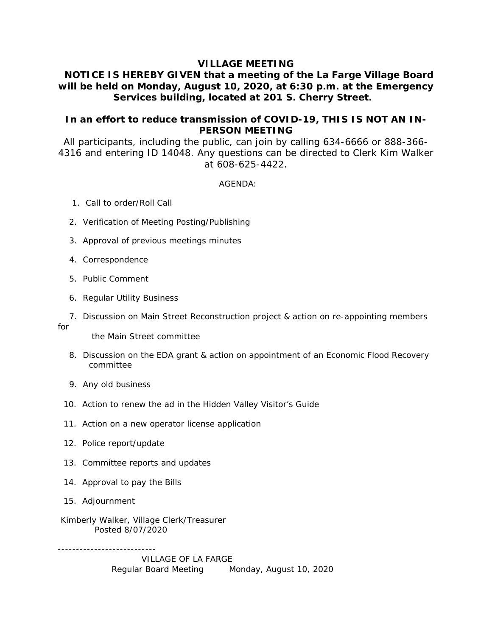### **VILLAGE MEETING**

# **NOTICE IS HEREBY GIVEN that a meeting of the La Farge Village Board will be held on Monday, August 10, 2020, at 6:30 p.m. at the Emergency Services building, located at 201 S. Cherry Street.**

## **In an effort to reduce transmission of COVID-19, THIS IS NOT AN IN-PERSON MEETING**

All participants, including the public, can join by calling 634-6666 or 888-366- 4316 and entering ID 14048. Any questions can be directed to Clerk Kim Walker at 608-625-4422.

#### AGENDA:

- 1. Call to order/Roll Call
- 2. Verification of Meeting Posting/Publishing
- 3. Approval of previous meetings minutes
- 4. Correspondence
- 5. Public Comment
- 6. Regular Utility Business
- 7. Discussion on Main Street Reconstruction project & action on re-appointing members for the Main Street committee
	-
	- 8. Discussion on the EDA grant & action on appointment of an Economic Flood Recovery committee
	- 9. Any old business
	- 10. Action to renew the ad in the Hidden Valley Visitor's Guide
	- 11. Action on a new operator license application
	- 12. Police report/update
	- 13. Committee reports and updates
	- 14. Approval to pay the Bills
	- 15. Adjournment

---------------------------

 Kimberly Walker, Village Clerk/Treasurer Posted 8/07/2020

> VILLAGE OF LA FARGE Regular Board Meeting Monday, August 10, 2020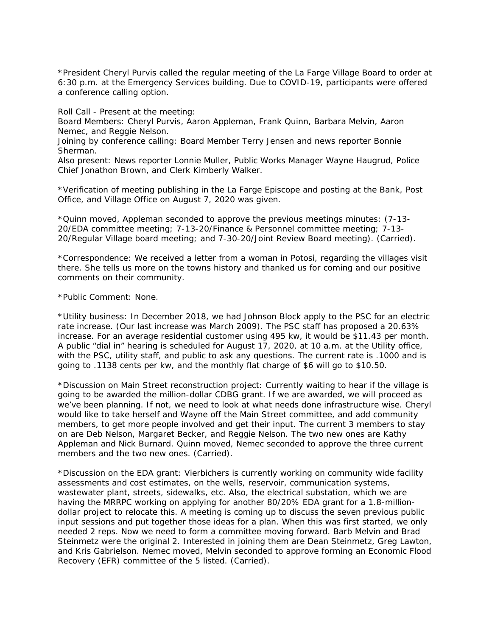\*President Cheryl Purvis called the regular meeting of the La Farge Village Board to order at 6:30 p.m. at the Emergency Services building. Due to COVID-19, participants were offered a conference calling option.

Roll Call - Present at the meeting:

Board Members: Cheryl Purvis, Aaron Appleman, Frank Quinn, Barbara Melvin, Aaron Nemec, and Reggie Nelson.

Joining by conference calling: Board Member Terry Jensen and news reporter Bonnie Sherman.

Also present: News reporter Lonnie Muller, Public Works Manager Wayne Haugrud, Police Chief Jonathon Brown, and Clerk Kimberly Walker.

\*Verification of meeting publishing in the La Farge Episcope and posting at the Bank, Post Office, and Village Office on August 7, 2020 was given.

\*Quinn moved, Appleman seconded to approve the previous meetings minutes: (7-13- 20/EDA committee meeting; 7-13-20/Finance & Personnel committee meeting; 7-13- 20/Regular Village board meeting; and 7-30-20/Joint Review Board meeting). (Carried).

\*Correspondence: We received a letter from a woman in Potosi, regarding the villages visit there. She tells us more on the towns history and thanked us for coming and our positive comments on their community.

\*Public Comment: None.

\*Utility business: In December 2018, we had Johnson Block apply to the PSC for an electric rate increase. (Our last increase was March 2009). The PSC staff has proposed a 20.63% increase. For an average residential customer using 495 kw, it would be \$11.43 per month. A public "dial in" hearing is scheduled for August 17, 2020, at 10 a.m. at the Utility office, with the PSC, utility staff, and public to ask any questions. The current rate is .1000 and is going to .1138 cents per kw, and the monthly flat charge of \$6 will go to \$10.50.

\*Discussion on Main Street reconstruction project: Currently waiting to hear if the village is going to be awarded the million-dollar CDBG grant. If we are awarded, we will proceed as we've been planning. If not, we need to look at what needs done infrastructure wise. Cheryl would like to take herself and Wayne off the Main Street committee, and add community members, to get more people involved and get their input. The current 3 members to stay on are Deb Nelson, Margaret Becker, and Reggie Nelson. The two new ones are Kathy Appleman and Nick Burnard. Quinn moved, Nemec seconded to approve the three current members and the two new ones. (Carried).

\*Discussion on the EDA grant: Vierbichers is currently working on community wide facility assessments and cost estimates, on the wells, reservoir, communication systems, wastewater plant, streets, sidewalks, etc. Also, the electrical substation, which we are having the MRRPC working on applying for another 80/20% EDA grant for a 1.8-milliondollar project to relocate this. A meeting is coming up to discuss the seven previous public input sessions and put together those ideas for a plan. When this was first started, we only needed 2 reps. Now we need to form a committee moving forward. Barb Melvin and Brad Steinmetz were the original 2. Interested in joining them are Dean Steinmetz, Greg Lawton, and Kris Gabrielson. Nemec moved, Melvin seconded to approve forming an Economic Flood Recovery (EFR) committee of the 5 listed. (Carried).